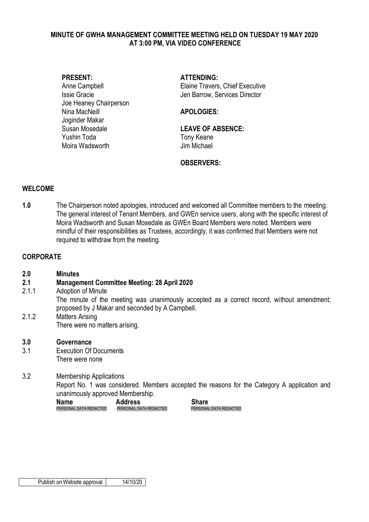## **MINUTE OF GWHA MANAGEMENT COMMITTEE MEETING HELD ON TUESDAY 19 MAY 2020 AT 3:00 PM, VIA VIDEO CONFERENCE**

Joe Heaney Chairperson Nina MacNeill **APOLOGIES:** Joginder Makar Susan Mosedale **LEAVE OF ABSENCE:**  Yushin Toda Tony Keane Moira Wadsworth **Im Michael** 

**PRESENT: ATTENDING:**

Anne Campbell **Elaine Travers**, Chief Executive Issie Gracie Jen Barrow, Services Director

## **OBSERVERS:**

## **WELCOME**

**1.0** The Chairperson noted apologies, introduced and welcomed all Committee members to the meeting. The general interest of Tenant Members, and GWEn service users, along with the specific interest of Moira Wadsworth and Susan Mosedale as GWEn Board Members were noted. Members were mindful of their responsibilities as Trustees, accordingly, it was confirmed that Members were not required to withdraw from the meeting.

## **CORPORATE**

| 2.0   | <b>Minutes</b>                                     |
|-------|----------------------------------------------------|
| 2.1   | <b>Management Committee Meeting: 28 April 2020</b> |
| 2.1.1 | Adoption of Minute                                 |

- The minute of the meeting was unanimously accepted as a correct record, without amendment; proposed by J Makar and seconded by A Campbell.
- 2.1.2 Matters Arising There were no matters arising.
- **3.0 Governance** 3.1 Execution Of Documents There were none

3.2 Membership Applications Report No. 1 was considered. Members accepted the reasons for the Category A application and unanimously approved Membership.

**Name Address Share Address Share PERSONAL DATA REDACTED** PERSONAL DATA REDACTED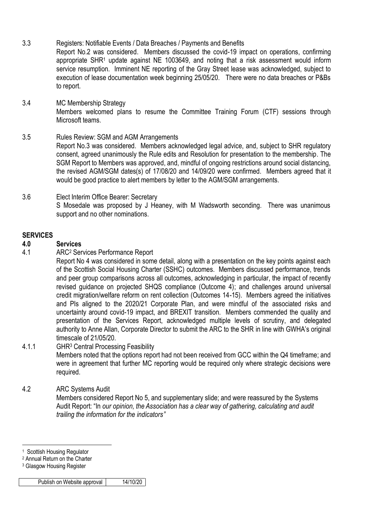3.3 Registers: Notifiable Events / Data Breaches / Payments and Benefits Report No.2 was considered. Members discussed the covid-19 impact on operations, confirming appropriate SHR<sup>1</sup> update against NE 1003649, and noting that a risk assessment would inform service resumption. Imminent NE reporting of the Gray Street lease was acknowledged, subject to execution of lease documentation week beginning 25/05/20. There were no data breaches or P&Bs

# 3.4 MC Membership Strategy Members welcomed plans to resume the Committee Training Forum (CTF) sessions through Microsoft teams.

3.5 Rules Review: SGM and AGM Arrangements Report No.3 was considered. Members acknowledged legal advice, and, subject to SHR regulatory consent, agreed unanimously the Rule edits and Resolution for presentation to the membership. The SGM Report to Members was approved, and, mindful of ongoing restrictions around social distancing, the revised AGM/SGM dates(s) of 17/08/20 and 14/09/20 were confirmed. Members agreed that it would be good practice to alert members by letter to the AGM/SGM arrangements.

## 3.6 Elect Interim Office Bearer: Secretary S Mosedale was proposed by J Heaney, with M Wadsworth seconding. There was unanimous support and no other nominations.

## **SERVICES**

# **4.0 Services**

to report.

4.1 ARC<sup>2</sup> Services Performance Report

Report No 4 was considered in some detail, along with a presentation on the key points against each of the Scottish Social Housing Charter (SSHC) outcomes. Members discussed performance, trends and peer group comparisons across all outcomes, acknowledging in particular, the impact of recently revised guidance on projected SHQS compliance (Outcome 4); and challenges around universal credit migration/welfare reform on rent collection (Outcomes 14-15). Members agreed the initiatives and PIs aligned to the 2020/21 Corporate Plan, and were mindful of the associated risks and uncertainty around covid-19 impact, and BREXIT transition. Members commended the quality and presentation of the Services Report, acknowledged multiple levels of scrutiny, and delegated authority to Anne Allan, Corporate Director to submit the ARC to the SHR in line with GWHA's original timescale of 21/05/20.

4.1.1 GHR<sup>3</sup> Central Processing Feasibility

Members noted that the options report had not been received from GCC within the Q4 timeframe; and were in agreement that further MC reporting would be required only where strategic decisions were required.

## 4.2 ARC Systems Audit

Members considered Report No 5, and supplementary slide; and were reassured by the Systems Audit Report: "In *our opinion, the Association has a clear way of gathering, calculating and audit trailing the information for the indicators"*

1

<sup>1</sup> Scottish Housing Regulator

<sup>2</sup> Annual Return on the Charter

<sup>3</sup> Glasgow Housing Register